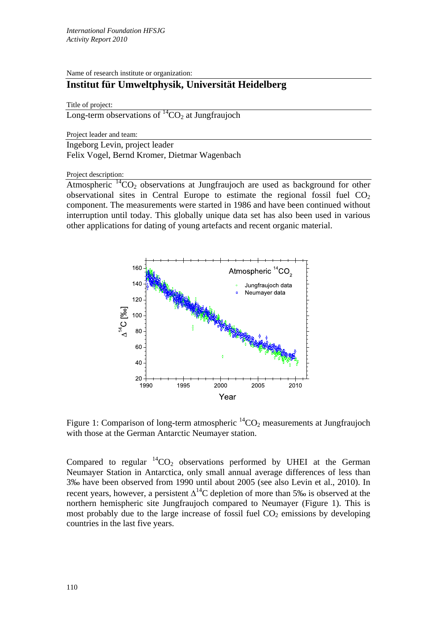Name of research institute or organization:

## **Institut für Umweltphysik, Universität Heidelberg**

Title of project:

Long-term observations of  ${}^{14}CO_2$  at Jungfraujoch

Project leader and team:

Ingeborg Levin, project leader Felix Vogel, Bernd Kromer, Dietmar Wagenbach

Project description:

Atmospheric  ${}^{14}CO_2$  observations at Jungfraujoch are used as background for other observational sites in Central Europe to estimate the regional fossil fuel  $CO<sub>2</sub>$ component. The measurements were started in 1986 and have been continued without interruption until today. This globally unique data set has also been used in various other applications for dating of young artefacts and recent organic material.



Figure 1: Comparison of long-term atmospheric  ${}^{14}CO_2$  measurements at Jungfraujoch with those at the German Antarctic Neumayer station.

Compared to regular  ${}^{14}CO_2$  observations performed by UHEI at the German Neumayer Station in Antarctica, only small annual average differences of less than 3‰ have been observed from 1990 until about 2005 (see also Levin et al., 2010). In recent years, however, a persistent  $\Delta^{14}$ C depletion of more than 5‰ is observed at the northern hemispheric site Jungfraujoch compared to Neumayer (Figure 1). This is most probably due to the large increase of fossil fuel  $CO<sub>2</sub>$  emissions by developing countries in the last five years.